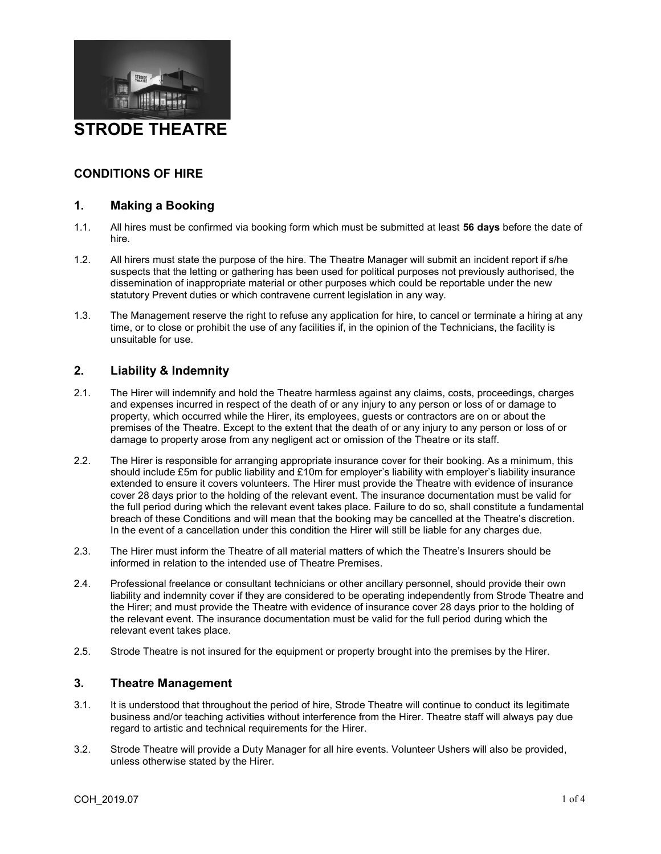

## CONDITIONS OF HIRE

## 1. Making a Booking

- 1.1. All hires must be confirmed via booking form which must be submitted at least 56 days before the date of hire.
- 1.2. All hirers must state the purpose of the hire. The Theatre Manager will submit an incident report if s/he suspects that the letting or gathering has been used for political purposes not previously authorised, the dissemination of inappropriate material or other purposes which could be reportable under the new statutory Prevent duties or which contravene current legislation in any way.
- 1.3. The Management reserve the right to refuse any application for hire, to cancel or terminate a hiring at any time, or to close or prohibit the use of any facilities if, in the opinion of the Technicians, the facility is unsuitable for use.

## 2. Liability & Indemnity

- 2.1. The Hirer will indemnify and hold the Theatre harmless against any claims, costs, proceedings, charges and expenses incurred in respect of the death of or any injury to any person or loss of or damage to property, which occurred while the Hirer, its employees, guests or contractors are on or about the premises of the Theatre. Except to the extent that the death of or any injury to any person or loss of or damage to property arose from any negligent act or omission of the Theatre or its staff.
- 2.2. The Hirer is responsible for arranging appropriate insurance cover for their booking. As a minimum, this should include £5m for public liability and £10m for employer's liability with employer's liability insurance extended to ensure it covers volunteers. The Hirer must provide the Theatre with evidence of insurance cover 28 days prior to the holding of the relevant event. The insurance documentation must be valid for the full period during which the relevant event takes place. Failure to do so, shall constitute a fundamental breach of these Conditions and will mean that the booking may be cancelled at the Theatre's discretion. In the event of a cancellation under this condition the Hirer will still be liable for any charges due.
- 2.3. The Hirer must inform the Theatre of all material matters of which the Theatre's Insurers should be informed in relation to the intended use of Theatre Premises.
- 2.4. Professional freelance or consultant technicians or other ancillary personnel, should provide their own liability and indemnity cover if they are considered to be operating independently from Strode Theatre and the Hirer; and must provide the Theatre with evidence of insurance cover 28 days prior to the holding of the relevant event. The insurance documentation must be valid for the full period during which the relevant event takes place.
- 2.5. Strode Theatre is not insured for the equipment or property brought into the premises by the Hirer.

### 3. Theatre Management

- 3.1. It is understood that throughout the period of hire, Strode Theatre will continue to conduct its legitimate business and/or teaching activities without interference from the Hirer. Theatre staff will always pay due regard to artistic and technical requirements for the Hirer.
- 3.2. Strode Theatre will provide a Duty Manager for all hire events. Volunteer Ushers will also be provided, unless otherwise stated by the Hirer.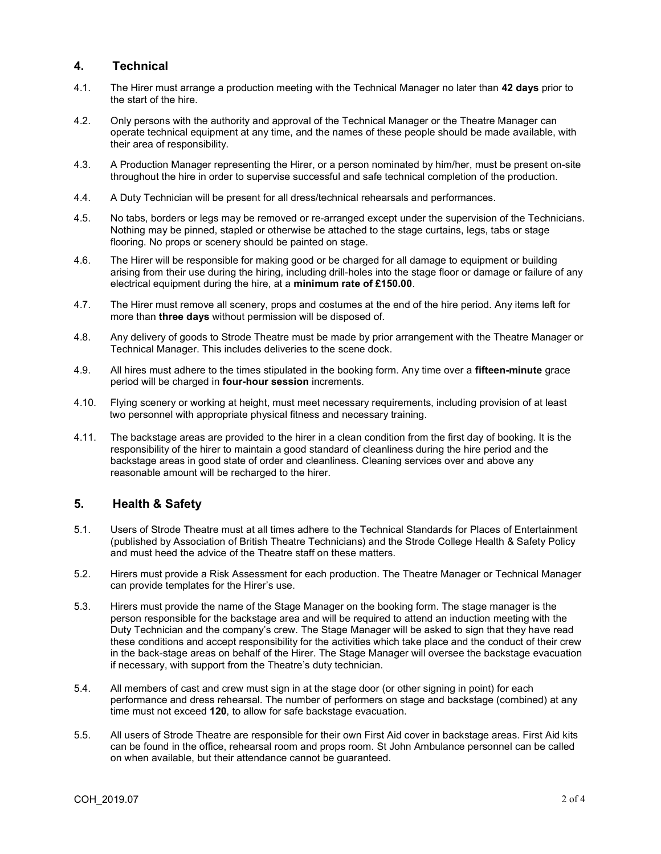### 4. Technical

- 4.1. The Hirer must arrange a production meeting with the Technical Manager no later than 42 days prior to the start of the hire.
- 4.2. Only persons with the authority and approval of the Technical Manager or the Theatre Manager can operate technical equipment at any time, and the names of these people should be made available, with their area of responsibility.
- 4.3. A Production Manager representing the Hirer, or a person nominated by him/her, must be present on-site throughout the hire in order to supervise successful and safe technical completion of the production.
- 4.4. A Duty Technician will be present for all dress/technical rehearsals and performances.
- 4.5. No tabs, borders or legs may be removed or re-arranged except under the supervision of the Technicians. Nothing may be pinned, stapled or otherwise be attached to the stage curtains, legs, tabs or stage flooring. No props or scenery should be painted on stage.
- 4.6. The Hirer will be responsible for making good or be charged for all damage to equipment or building arising from their use during the hiring, including drill-holes into the stage floor or damage or failure of any electrical equipment during the hire, at a minimum rate of £150.00.
- 4.7. The Hirer must remove all scenery, props and costumes at the end of the hire period. Any items left for more than **three days** without permission will be disposed of.
- 4.8. Any delivery of goods to Strode Theatre must be made by prior arrangement with the Theatre Manager or Technical Manager. This includes deliveries to the scene dock.
- 4.9. All hires must adhere to the times stipulated in the booking form. Any time over a **fifteen-minute** grace period will be charged in **four-hour session** increments.
- 4.10. Flying scenery or working at height, must meet necessary requirements, including provision of at least two personnel with appropriate physical fitness and necessary training.
- 4.11. The backstage areas are provided to the hirer in a clean condition from the first day of booking. It is the responsibility of the hirer to maintain a good standard of cleanliness during the hire period and the backstage areas in good state of order and cleanliness. Cleaning services over and above any reasonable amount will be recharged to the hirer.

## 5. Health & Safety

- 5.1. Users of Strode Theatre must at all times adhere to the Technical Standards for Places of Entertainment (published by Association of British Theatre Technicians) and the Strode College Health & Safety Policy and must heed the advice of the Theatre staff on these matters.
- 5.2. Hirers must provide a Risk Assessment for each production. The Theatre Manager or Technical Manager can provide templates for the Hirer's use.
- 5.3. Hirers must provide the name of the Stage Manager on the booking form. The stage manager is the person responsible for the backstage area and will be required to attend an induction meeting with the Duty Technician and the company's crew. The Stage Manager will be asked to sign that they have read these conditions and accept responsibility for the activities which take place and the conduct of their crew in the back-stage areas on behalf of the Hirer. The Stage Manager will oversee the backstage evacuation if necessary, with support from the Theatre's duty technician.
- 5.4. All members of cast and crew must sign in at the stage door (or other signing in point) for each performance and dress rehearsal. The number of performers on stage and backstage (combined) at any time must not exceed 120, to allow for safe backstage evacuation.
- 5.5. All users of Strode Theatre are responsible for their own First Aid cover in backstage areas. First Aid kits can be found in the office, rehearsal room and props room. St John Ambulance personnel can be called on when available, but their attendance cannot be guaranteed.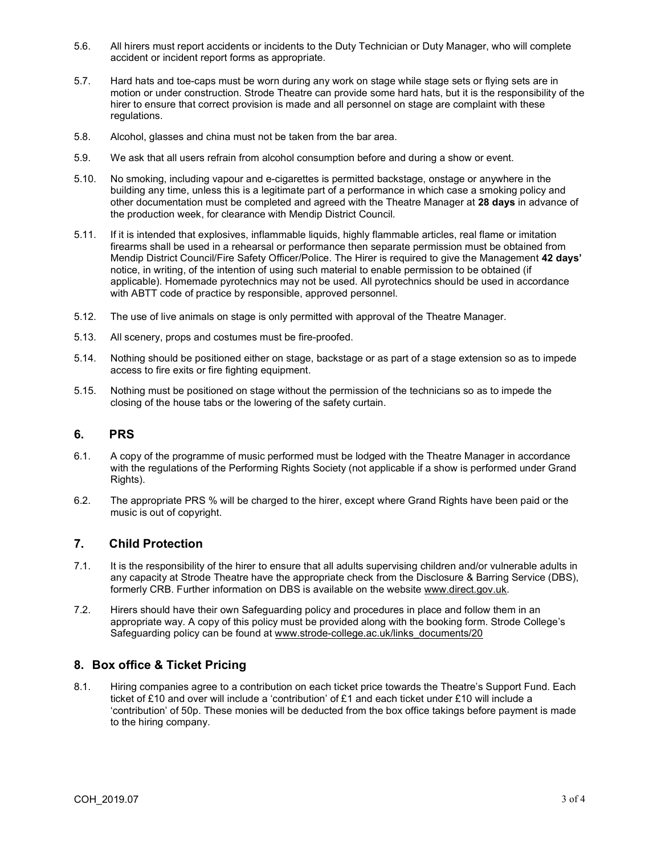- 5.6. All hirers must report accidents or incidents to the Duty Technician or Duty Manager, who will complete accident or incident report forms as appropriate.
- 5.7. Hard hats and toe-caps must be worn during any work on stage while stage sets or flying sets are in motion or under construction. Strode Theatre can provide some hard hats, but it is the responsibility of the hirer to ensure that correct provision is made and all personnel on stage are complaint with these regulations.
- 5.8. Alcohol, glasses and china must not be taken from the bar area.
- 5.9. We ask that all users refrain from alcohol consumption before and during a show or event.
- 5.10. No smoking, including vapour and e-cigarettes is permitted backstage, onstage or anywhere in the building any time, unless this is a legitimate part of a performance in which case a smoking policy and other documentation must be completed and agreed with the Theatre Manager at 28 days in advance of the production week, for clearance with Mendip District Council.
- 5.11. If it is intended that explosives, inflammable liquids, highly flammable articles, real flame or imitation firearms shall be used in a rehearsal or performance then separate permission must be obtained from Mendip District Council/Fire Safety Officer/Police. The Hirer is required to give the Management 42 days' notice, in writing, of the intention of using such material to enable permission to be obtained (if applicable). Homemade pyrotechnics may not be used. All pyrotechnics should be used in accordance with ABTT code of practice by responsible, approved personnel.
- 5.12. The use of live animals on stage is only permitted with approval of the Theatre Manager.
- 5.13. All scenery, props and costumes must be fire-proofed.
- 5.14. Nothing should be positioned either on stage, backstage or as part of a stage extension so as to impede access to fire exits or fire fighting equipment.
- 5.15. Nothing must be positioned on stage without the permission of the technicians so as to impede the closing of the house tabs or the lowering of the safety curtain.

#### 6. PRS

- 6.1. A copy of the programme of music performed must be lodged with the Theatre Manager in accordance with the regulations of the Performing Rights Society (not applicable if a show is performed under Grand Rights).
- 6.2. The appropriate PRS % will be charged to the hirer, except where Grand Rights have been paid or the music is out of copyright.

#### 7. Child Protection

- 7.1. It is the responsibility of the hirer to ensure that all adults supervising children and/or vulnerable adults in any capacity at Strode Theatre have the appropriate check from the Disclosure & Barring Service (DBS), formerly CRB. Further information on DBS is available on the website www.direct.gov.uk.
- 7.2. Hirers should have their own Safeguarding policy and procedures in place and follow them in an appropriate way. A copy of this policy must be provided along with the booking form. Strode College's Safeguarding policy can be found at www.strode-college.ac.uk/links\_documents/20

## 8. Box office & Ticket Pricing

8.1. Hiring companies agree to a contribution on each ticket price towards the Theatre's Support Fund. Each ticket of £10 and over will include a 'contribution' of £1 and each ticket under £10 will include a 'contribution' of 50p. These monies will be deducted from the box office takings before payment is made to the hiring company.